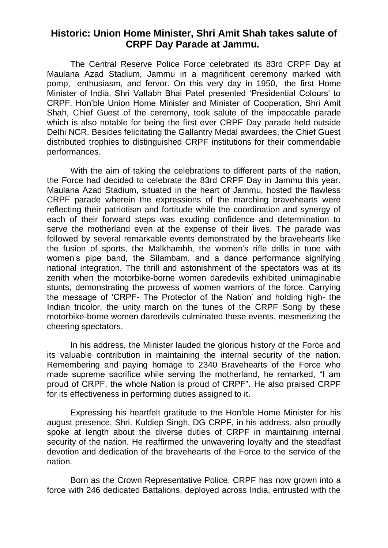## **Historic: Union Home Minister, Shri Amit Shah takes salute of CRPF Day Parade at Jammu.**

The Central Reserve Police Force celebrated its 83rd CRPF Day at Maulana Azad Stadium, Jammu in a magnificent ceremony marked with pomp, enthusiasm, and fervor. On this very day in 1950, the first Home Minister of India, Shri Vallabh Bhai Patel presented 'Presidential Colours' to CRPF. Hon'ble Union Home Minister and Minister of Cooperation, Shri Amit Shah, Chief Guest of the ceremony, took salute of the impeccable parade which is also notable for being the first ever CRPF Day parade held outside Delhi NCR. Besides felicitating the Gallantry Medal awardees, the Chief Guest distributed trophies to distinguished CRPF institutions for their commendable performances.

With the aim of taking the celebrations to different parts of the nation, the Force had decided to celebrate the 83rd CRPF Day in Jammu this year. Maulana Azad Stadium, situated in the heart of Jammu, hosted the flawless CRPF parade wherein the expressions of the marching bravehearts were reflecting their patriotism and fortitude while the coordination and synergy of each of their forward steps was exuding confidence and determination to serve the motherland even at the expense of their lives. The parade was followed by several remarkable events demonstrated by the bravehearts like the fusion of sports, the Malkhambh, the women's rifle drills in tune with women's pipe band, the Silambam, and a dance performance signifying national integration. The thrill and astonishment of the spectators was at its zenith when the motorbike-borne women daredevils exhibited unimaginable stunts, demonstrating the prowess of women warriors of the force. Carrying the message of 'CRPF- The Protector of the Nation' and holding high- the Indian tricolor, the unity march on the tunes of the CRPF Song by these motorbike-borne women daredevils culminated these events, mesmerizing the cheering spectators.

In his address, the Minister lauded the glorious history of the Force and its valuable contribution in maintaining the internal security of the nation. Remembering and paying homage to 2340 Bravehearts of the Force who made supreme sacrifice while serving the motherland, he remarked, "I am proud of CRPF, the whole Nation is proud of CRPF". He also praised CRPF for its effectiveness in performing duties assigned to it.

Expressing his heartfelt gratitude to the Hon'ble Home Minister for his august presence, Shri. Kuldiep Singh, DG CRPF, in his address, also proudly spoke at length about the diverse duties of CRPF in maintaining internal security of the nation. He reaffirmed the unwavering loyalty and the steadfast devotion and dedication of the bravehearts of the Force to the service of the nation.

Born as the Crown Representative Police, CRPF has now grown into a force with 246 dedicated Battalions, deployed across India, entrusted with the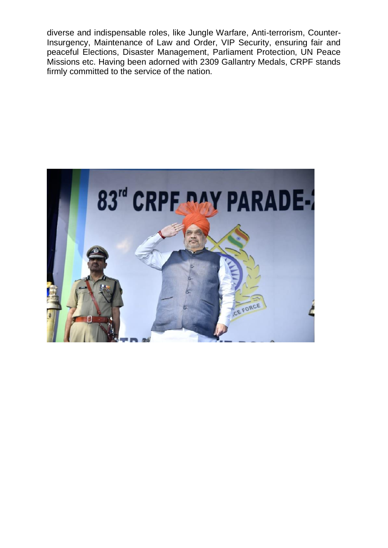diverse and indispensable roles, like Jungle Warfare, Anti-terrorism, Counter-Insurgency, Maintenance of Law and Order, VIP Security, ensuring fair and peaceful Elections, Disaster Management, Parliament Protection, UN Peace Missions etc. Having been adorned with 2309 Gallantry Medals, CRPF stands firmly committed to the service of the nation.

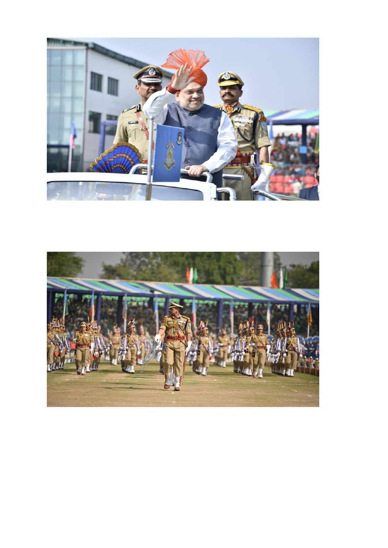